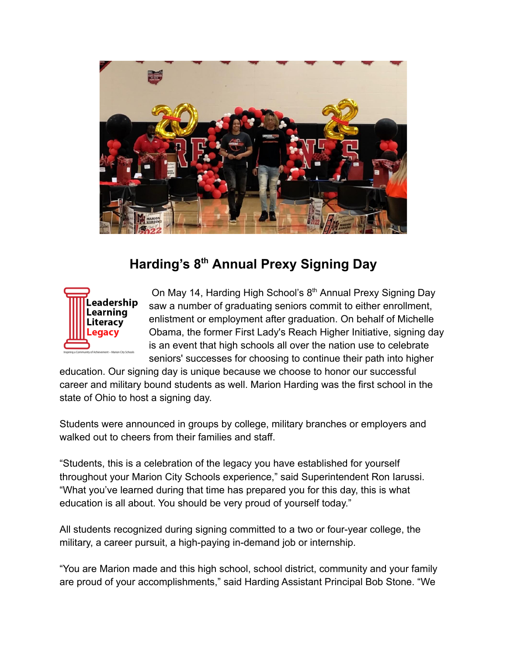

## **Harding's 8 th Annual Prexy Signing Day**



On May 14, Harding High School's 8<sup>th</sup> Annual Prexy Signing Day saw a number of graduating seniors commit to either enrollment, enlistment or employment after graduation. On behalf of Michelle Obama, the former First Lady's Reach Higher Initiative, signing day is an event that high schools all over the nation use to celebrate seniors' successes for choosing to continue their path into higher

education. Our signing day is unique because we choose to honor our successful career and military bound students as well. Marion Harding was the first school in the state of Ohio to host a signing day.

Students were announced in groups by college, military branches or employers and walked out to cheers from their families and staff.

"Students, this is a celebration of the legacy you have established for yourself throughout your Marion City Schools experience," said Superintendent Ron Iarussi. "What you've learned during that time has prepared you for this day, this is what education is all about. You should be very proud of yourself today."

All students recognized during signing committed to a two or four-year college, the military, a career pursuit, a high-paying in-demand job or internship.

"You are Marion made and this high school, school district, community and your family are proud of your accomplishments," said Harding Assistant Principal Bob Stone. "We